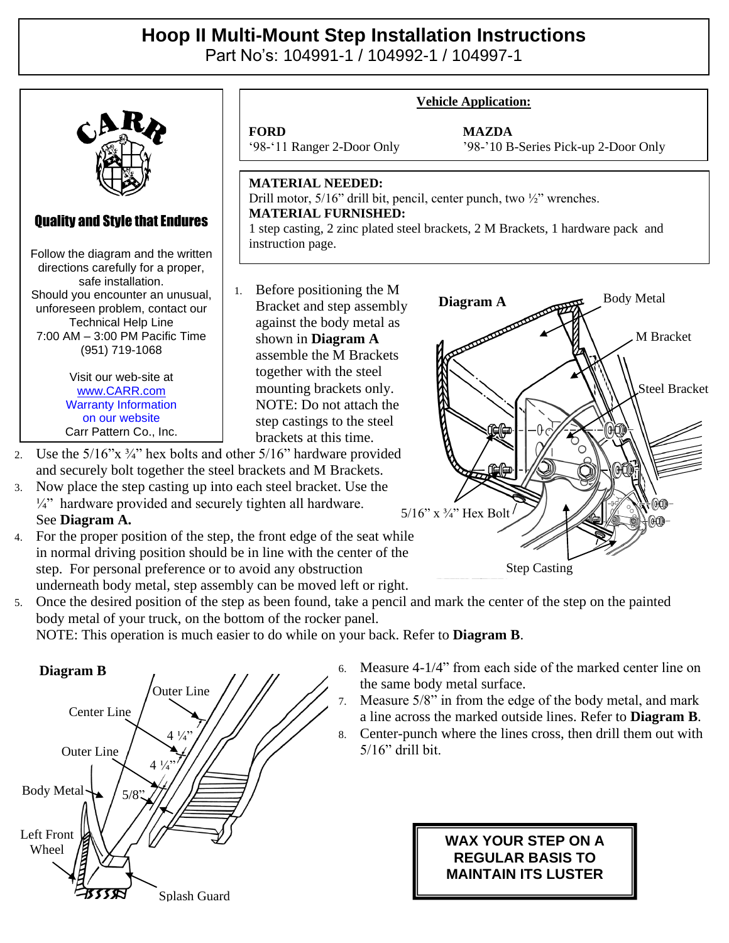## **Hoop II Multi-Mount Step Installation Instructions**

Part No's: 104991-1 / 104992-1 / 104997-1



4. For the proper position of the step, the front edge of the seat while in normal driving position should be in line with the center of the step. For personal preference or to avoid any obstruction underneath body metal, step assembly can be moved left or right.

5. Once the desired position of the step as been found, take a pencil and mark the center of the step on the painted body metal of your truck, on the bottom of the rocker panel.

NOTE: This operation is much easier to do while on your back. Refer to **Diagram B**.



6. Measure 4-1/4" from each side of the marked center line on the same body metal surface.

Step Casting

- 7. Measure 5/8" in from the edge of the body metal, and mark a line across the marked outside lines. Refer to **Diagram B**.
- 8. Center-punch where the lines cross, then drill them out with 5/16" drill bit.

## **WAX YOUR STEP ON A REGULAR BASIS TO MAINTAIN ITS LUSTER**